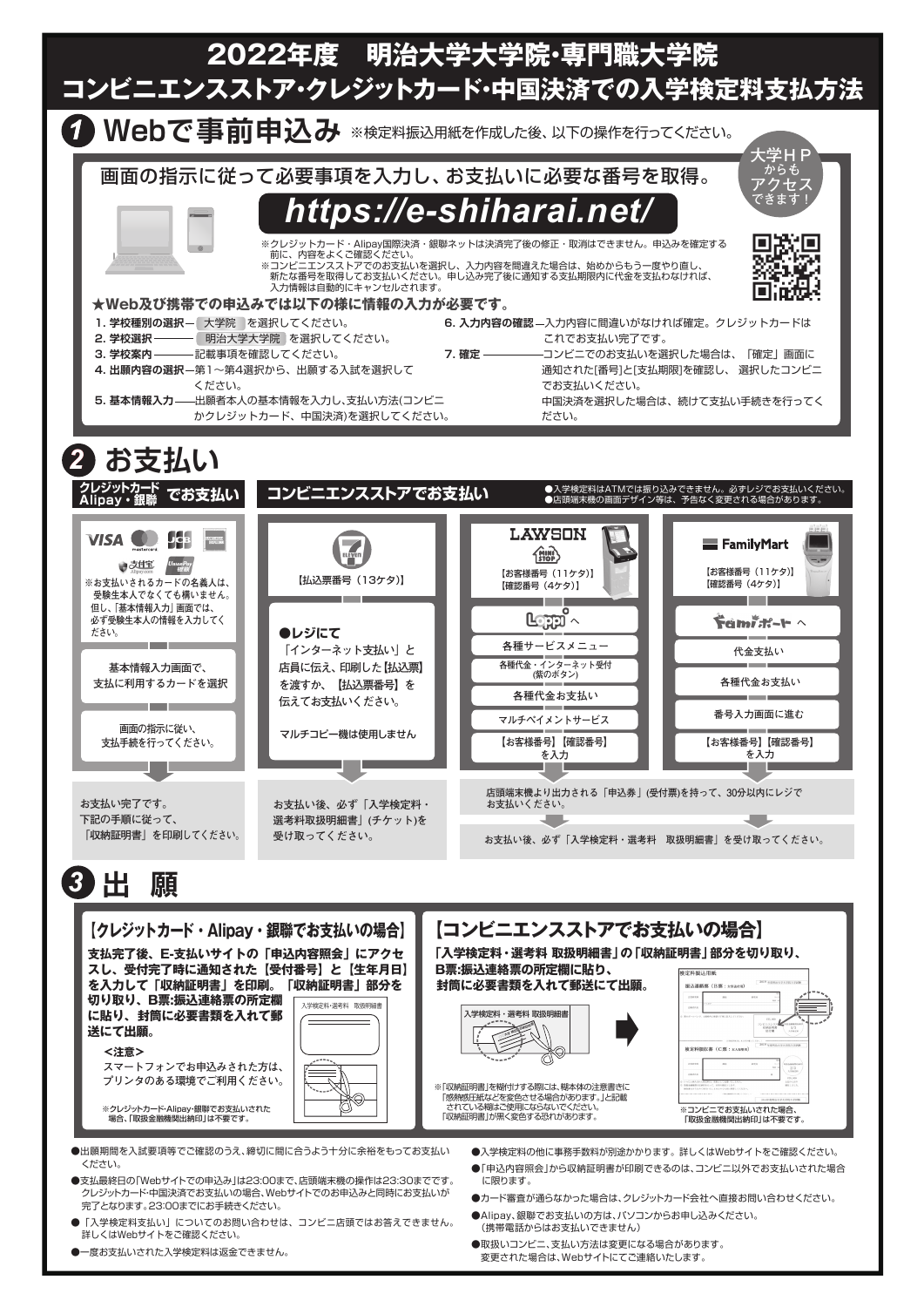

●一度お支払いされた入学検定料は返金できません。

●取扱いコンビニ、支払い方法は変更になる場合があります。 変更された場合は、Webサイトにてご連絡いたします。